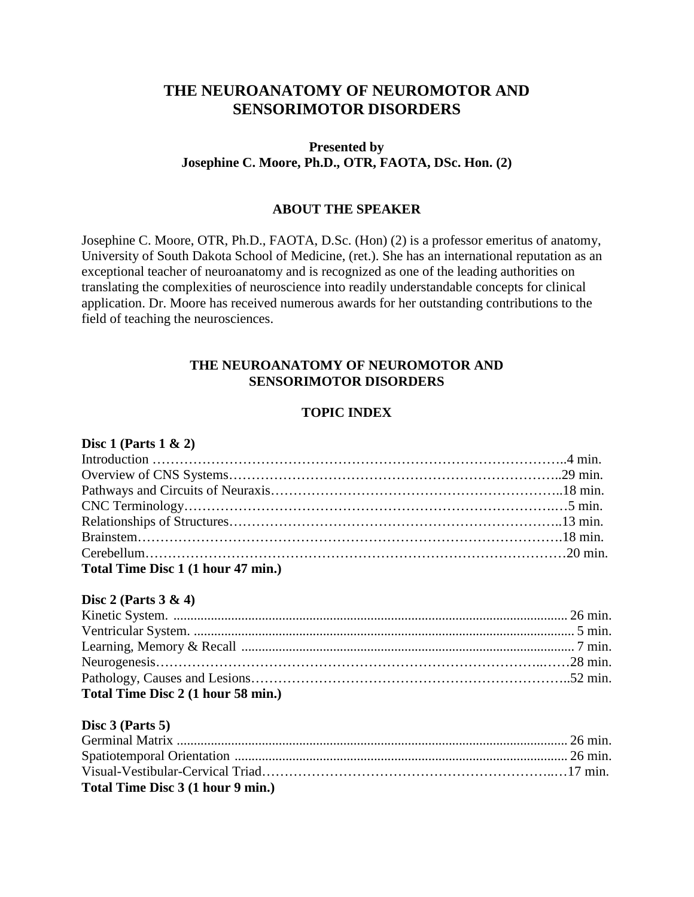# **THE NEUROANATOMY OF NEUROMOTOR AND SENSORIMOTOR DISORDERS**

# **Presented by Josephine C. Moore, Ph.D., OTR, FAOTA, DSc. Hon. (2)**

## **ABOUT THE SPEAKER**

Josephine C. Moore, OTR, Ph.D., FAOTA, D.Sc. (Hon) (2) is a professor emeritus of anatomy, University of South Dakota School of Medicine, (ret.). She has an international reputation as an exceptional teacher of neuroanatomy and is recognized as one of the leading authorities on translating the complexities of neuroscience into readily understandable concepts for clinical application. Dr. Moore has received numerous awards for her outstanding contributions to the field of teaching the neurosciences.

### **THE NEUROANATOMY OF NEUROMOTOR AND SENSORIMOTOR DISORDERS**

# **TOPIC INDEX**

#### **Disc 1 (Parts 1 & 2)**

| Total Time Disc 1 (1 hour 47 min.) |  |
|------------------------------------|--|

#### **Disc 2 (Parts 3 & 4)**

| Total Time Disc 2 (1 hour 58 min.) |  |
|------------------------------------|--|

## **Disc 3 (Parts 5)**

| Total Time Disc 3 (1 hour 9 min.) |  |
|-----------------------------------|--|